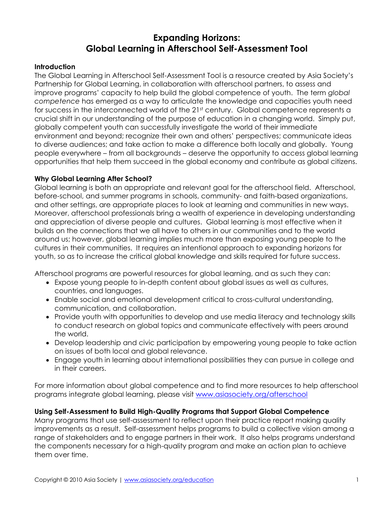# **Expanding Horizons: Global Learning in Afterschool Self-Assessment Tool**

# **Introduction**

The Global Learning in Afterschool Self-Assessment Tool is a resource created by Asia Society's Partnership for Global Learning, in collaboration with afterschool partners, to assess and improve programs' capacity to help build the global competence of youth. The term *global competence* has emerged as a way to articulate the knowledge and capacities youth need for success in the interconnected world of the 21<sup>st</sup> century. Global competence represents a crucial shift in our understanding of the purpose of education in a changing world. Simply put, globally competent youth can successfully investigate the world of their immediate environment and beyond; recognize their own and others' perspectives; communicate ideas to diverse audiences; and take action to make a difference both locally and globally. Young people everywhere – from all backgrounds – deserve the opportunity to access global learning opportunities that help them succeed in the global economy and contribute as global citizens.

# **Why Global Learning After School?**

Global learning is both an appropriate and relevant goal for the afterschool field. Afterschool, before-school, and summer programs in schools, community- and faith-based organizations, and other settings, are appropriate places to look at learning and communities in new ways. Moreover, afterschool professionals bring a wealth of experience in developing understanding and appreciation of diverse people and cultures. Global learning is most effective when it builds on the connections that we all have to others in our communities and to the world around us; however, global learning implies much more than exposing young people to the cultures in their communities. It requires an intentional approach to expanding horizons for youth, so as to increase the critical global knowledge and skills required for future success.

Afterschool programs are powerful resources for global learning, and as such they can:

- Expose young people to in-depth content about global issues as well as cultures, countries, and languages.
- Enable social and emotional development critical to cross-cultural understanding, communication, and collaboration.
- Provide youth with opportunities to develop and use media literacy and technology skills to conduct research on global topics and communicate effectively with peers around the world.
- Develop leadership and civic participation by empowering young people to take action on issues of both local and global relevance.
- Engage youth in learning about international possibilities they can pursue in college and in their careers.

For more information about global competence and to find more resources to help afterschool programs integrate global learning, please visit www.asiasociety.org/afterschool

# **Using Self-Assessment to Build High-Quality Programs that Support Global Competence**

Many programs that use self-assessment to reflect upon their practice report making quality improvements as a result. Self-assessment helps programs to build a collective vision among a range of stakeholders and to engage partners in their work. It also helps programs understand the components necessary for a high-quality program and make an action plan to achieve them over time.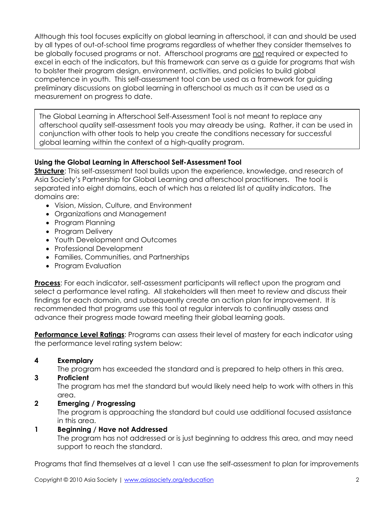Although this tool focuses explicitly on global learning in afterschool, it can and should be used by all types of out-of-school time programs regardless of whether they consider themselves to be globally focused programs or not. Afterschool programs are not required or expected to excel in each of the indicators, but this framework can serve as a guide for programs that wish to bolster their program design, environment, activities, and policies to build global competence in youth. This self-assessment tool can be used as a framework for guiding preliminary discussions on global learning in afterschool as much as it can be used as a measurement on progress to date.

The Global Learning in Afterschool Self-Assessment Tool is not meant to replace any afterschool quality self-assessment tools you may already be using. Rather, it can be used in conjunction with other tools to help you create the conditions necessary for successful global learning within the context of a high-quality program.

# **Using the Global Learning in Afterschool Self-Assessment Tool**

**Structure**: This self-assessment tool builds upon the experience, knowledge, and research of Asia Society's Partnership for Global Learning and afterschool practitioners. The tool is separated into eight domains, each of which has a related list of quality indicators. The domains are:

- Vision, Mission, Culture, and Environment
- Organizations and Management
- Program Planning
- Program Delivery
- Youth Development and Outcomes
- Professional Development
- Families, Communities, and Partnerships
- Program Evaluation

**Process**: For each indicator, self-assessment participants will reflect upon the program and select a performance level rating. All stakeholders will then meet to review and discuss their findings for each domain, and subsequently create an action plan for improvement. It is recommended that programs use this tool at regular intervals to continually assess and advance their progress made toward meeting their global learning goals.

**Performance Level Ratings**: Programs can assess their level of mastery for each indicator using the performance level rating system below:

# **4 Exemplary**

The program has exceeded the standard and is prepared to help others in this area.

**3 Proficient** 

The program has met the standard but would likely need help to work with others in this area.

# **2 Emerging / Progressing**

The program is approaching the standard but could use additional focused assistance in this area.

# **1 Beginning / Have not Addressed**

The program has not addressed or is just beginning to address this area, and may need support to reach the standard.

Programs that find themselves at a level 1 can use the self-assessment to plan for improvements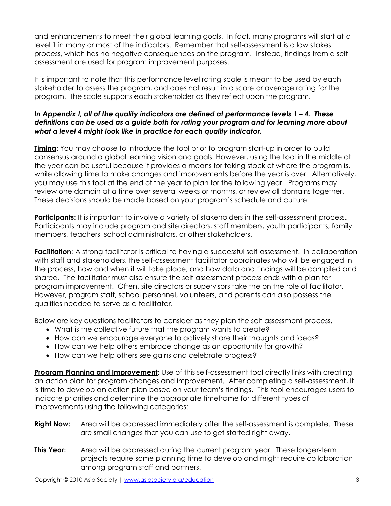and enhancements to meet their global learning goals. In fact, many programs will start at a level 1 in many or most of the indicators. Remember that self-assessment is a low stakes process, which has no negative consequences on the program. Instead, findings from a selfassessment are used for program improvement purposes.

It is important to note that this performance level rating scale is meant to be used by each stakeholder to assess the program, and does not result in a score or average rating for the program. The scale supports each stakeholder as they reflect upon the program.

# *In Appendix I, all of the quality indicators are defined at performance levels 1 – 4. These definitions can be used as a guide both for rating your program and for learning more about what a level 4 might look like in practice for each quality indicator.*

**Timing**: You may choose to introduce the tool prior to program start-up in order to build consensus around a global learning vision and goals. However, using the tool in the middle of the year can be useful because it provides a means for taking stock of where the program is, while allowing time to make changes and improvements before the year is over. Alternatively, you may use this tool at the end of the year to plan for the following year. Programs may review one domain at a time over several weeks or months, or review all domains together. These decisions should be made based on your program's schedule and culture.

**Participants:** It is important to involve a variety of stakeholders in the self-assessment process. Participants may include program and site directors, staff members, youth participants, family members, teachers, school administrators, or other stakeholders.

Facilitation: A strong facilitator is critical to having a successful self-assessment. In collaboration with staff and stakeholders, the self-assessment facilitator coordinates who will be engaged in the process, how and when it will take place, and how data and findings will be compiled and shared. The facilitator must also ensure the self-assessment process ends with a plan for program improvement. Often, site directors or supervisors take the on the role of facilitator. However, program staff, school personnel, volunteers, and parents can also possess the qualities needed to serve as a facilitator.

Below are key questions facilitators to consider as they plan the self-assessment process.

- What is the collective future that the program wants to create?
- How can we encourage everyone to actively share their thoughts and ideas?
- How can we help others embrace change as an opportunity for growth?
- How can we help others see gains and celebrate progress?

**Program Planning and Improvement:** Use of this self-assessment tool directly links with creating an action plan for program changes and improvement. After completing a self-assessment, it is time to develop an action plan based on your team's findings. This tool encourages users to indicate priorities and determine the appropriate timeframe for different types of improvements using the following categories:

- **Right Now:** Area will be addressed immediately after the self-assessment is complete. These are small changes that you can use to get started right away.
- **This Year:** Area will be addressed during the current program year. These longer-term projects require some planning time to develop and might require collaboration among program staff and partners.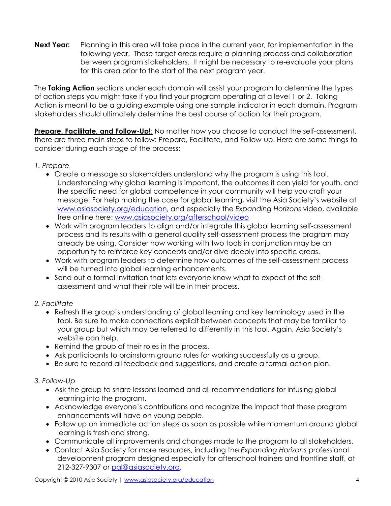**Next Year:** Planning in this area will take place in the current year, for implementation in the following year. These target areas require a planning process and collaboration between program stakeholders. It might be necessary to re-evaluate your plans for this area prior to the start of the next program year.

The **Taking Action** sections under each domain will assist your program to determine the types of action steps you might take if you find your program operating at a level 1 or 2. Taking Action is meant to be a guiding example using one sample indicator in each domain. Program stakeholders should ultimately determine the best course of action for their program.

**Prepare, Facilitate, and Follow-Up!:** No matter how you choose to conduct the self-assessment, there are three main steps to follow: Prepare, Facilitate, and Follow-up. Here are some things to consider during each stage of the process:

# *1. Prepare*

- Create a message so stakeholders understand why the program is using this tool. Understanding why global learning is important, the outcomes it can yield for youth, and the specific need for global competence in your community will help you craft your message! For help making the case for global learning, visit the Asia Society's website at www.asiasociety.org/education, and especially the *Expanding Horizons* video, available free online here: www.asiasociety.org/afterschool/video
- Work with program leaders to align and/or integrate this global learning self-assessment process and its results with a general quality self-assessment process the program may already be using. Consider how working with two tools in conjunction may be an opportunity to reinforce key concepts and/or dive deeply into specific areas.
- Work with program leaders to determine how outcomes of the self-assessment process will be turned into global learning enhancements.
- Send out a formal invitation that lets everyone know what to expect of the selfassessment and what their role will be in their process.

# *2. Facilitate*

- Refresh the group's understanding of global learning and key terminology used in the tool. Be sure to make connections explicit between concepts that may be familiar to your group but which may be referred to differently in this tool. Again, Asia Society's website can help.
- Remind the group of their roles in the process.
- Ask participants to brainstorm ground rules for working successfully as a group.
- x Be sure to record all feedback and suggestions, and create a formal action plan.

# *3. Follow-Up*

- Ask the group to share lessons learned and all recommendations for infusing global learning into the program.
- Acknowledge everyone's contributions and recognize the impact that these program enhancements will have on young people.
- Follow up on immediate action steps as soon as possible while momentum around global learning is fresh and strong.
- Communicate all improvements and changes made to the program to all stakeholders.
- x Contact Asia Society for more resources, including the *Expanding Horizons* professional development program designed especially for afterschool trainers and frontline staff, at 212-327-9307 or pgl@asiasociety.org.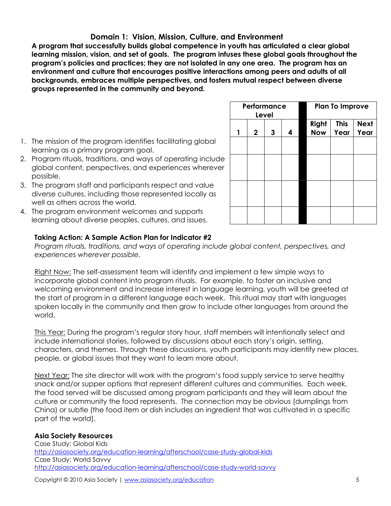# **Domain 1: Vision, Mission, Culture, and Environment**

**A program that successfully builds global competence in youth has articulated a clear global learning mission, vision, and set of goals. The program infuses these global goals throughout the program's policies and practices; they are not isolated in any one area. The program has an environment and culture that encourages positive interactions among peers and adults of all backgrounds, embraces multiple perspectives, and fosters mutual respect between diverse groups represented in the community and beyond.** 

- 1. The mission of the program identifies facilitating global learning as a primary program goal.
- 2. Program rituals, traditions, and ways of operating include global content, perspectives, and experiences wherever possible.
- 3. The program staff and participants respect and value diverse cultures, including those represented locally as well as others across the world.
- 4. The program environment welcomes and supports learning about diverse peoples, cultures, and issues.

# **Taking Action: A Sample Action Plan for Indicator #2**

*Program rituals, traditions, and ways of operating include global content, perspectives, and experiences wherever possible.* 

Right Now: The self-assessment team will identify and implement a few simple ways to incorporate global content into program rituals. For example, to foster an inclusive and welcoming environment and increase interest in language learning, youth will be greeted at the start of program in a different language each week. This ritual may start with languages spoken locally in the community and then grow to include other languages from around the world.

This Year: During the program's regular story hour, staff members will intentionally select and include international stories, followed by discussions about each story's origin, setting, characters, and themes. Through these discussions, youth participants may identify new places, people, or global issues that they want to learn more about.

Next Year: The site director will work with the program's food supply service to serve healthy snack and/or supper options that represent different cultures and communities. Each week, the food served will be discussed among program participants and they will learn about the culture or community the food represents. The connection may be obvious (dumplings from China) or subtle (the food item or dish includes an ingredient that was cultivated in a specific part of the world).

# **Asia Society Resources**

Case Study: Global Kids http://asiasociety.org/education-learning/afterschool/case-study-global-kids Case Study: World Savvy http://asiasociety.org/education-learning/afterschool/case-study-world-savvy

| Performance | Level |   |                     | <b>Plan To Improve</b> |  |
|-------------|-------|---|---------------------|------------------------|--|
| $\mathbf 2$ | 3     | 4 | Right<br><b>Now</b> | <b>Next</b><br>Year    |  |
|             |       |   |                     |                        |  |
|             |       |   |                     |                        |  |
|             |       |   |                     |                        |  |
|             |       |   |                     |                        |  |
|             |       |   |                     |                        |  |
|             |       |   |                     |                        |  |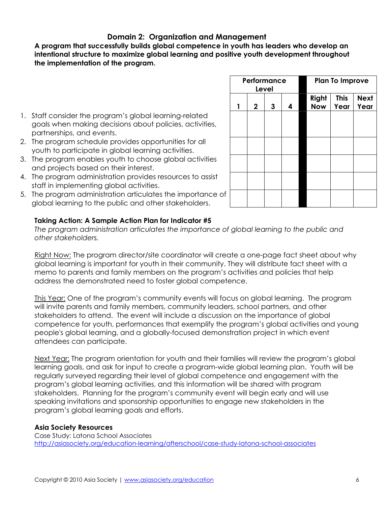# **Domain 2: Organization and Management**

**A program that successfully builds global competence in youth has leaders who develop an intentional structure to maximize global learning and positive youth development throughout the implementation of the program.** 

- 1. Staff consider the program's global learning-related goals when making decisions about policies, activities, partnerships, and events.
- 2. The program schedule provides opportunities for all youth to participate in global learning activities.
- 3. The program enables youth to choose global activities and projects based on their interest.
- 4. The program administration provides resources to assist staff in implementing global activities.
- 5. The program administration articulates the importance of global learning to the public and other stakeholders.

# **Taking Action: A Sample Action Plan for Indicator #5**

*The program administration articulates the importance of global learning to the public and other stakeholders.* 

Right Now: The program director/site coordinator will create a one-page fact sheet about why global learning is important for youth in their community. They will distribute fact sheet with a memo to parents and family members on the program's activities and policies that help address the demonstrated need to foster global competence.

This Year: One of the program's community events will focus on global learning. The program will invite parents and family members, community leaders, school partners, and other stakeholders to attend. The event will include a discussion on the importance of global competence for youth, performances that exemplify the program's global activities and young people's global learning, and a globally-focused demonstration project in which event attendees can participate.

Next Year: The program orientation for youth and their families will review the program's global learning goals, and ask for input to create a program-wide global learning plan. Youth will be regularly surveyed regarding their level of global competence and engagement with the program's global learning activities, and this information will be shared with program stakeholders. Planning for the program's community event will begin early and will use speaking invitations and sponsorship opportunities to engage new stakeholders in the program's global learning goals and efforts.

# **Asia Society Resources**

Case Study: Latona School Associates http://asiasociety.org/education-learning/afterschool/case-study-latona-school-associates

|   | Performance | Level |   | <b>Plan To Improve</b> |                     |  |  |  |
|---|-------------|-------|---|------------------------|---------------------|--|--|--|
| 1 | $\mathbf 2$ | 3     | 4 | Right<br><b>Now</b>    | <b>Next</b><br>Year |  |  |  |
|   |             |       |   |                        |                     |  |  |  |
|   |             |       |   |                        |                     |  |  |  |
|   |             |       |   |                        |                     |  |  |  |
|   |             |       |   |                        |                     |  |  |  |
|   |             |       |   |                        |                     |  |  |  |
|   |             |       |   |                        |                     |  |  |  |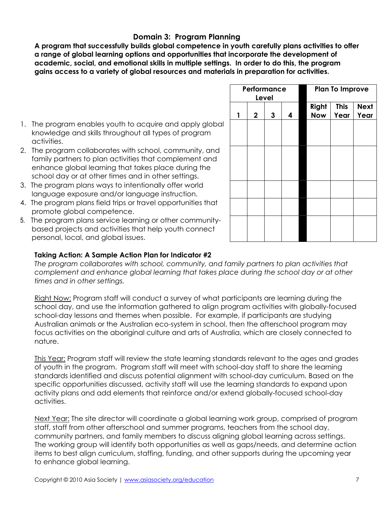# **Domain 3: Program Planning**

**A program that successfully builds global competence in youth carefully plans activities to offer a range of global learning options and opportunities that incorporate the development of academic, social, and emotional skills in multiple settings. In order to do this, the program gains access to a variety of global resources and materials in preparation for activities.** 

- 1. The program enables youth to acquire and apply global knowledge and skills throughout all types of program activities.
- 2. The program collaborates with school, community, and family partners to plan activities that complement and enhance global learning that takes place during the school day or at other times and in other settings.
- 3. The program plans ways to intentionally offer world language exposure and/or language instruction.
- 4. The program plans field trips or travel opportunities that promote global competence.
- 5. The program plans service learning or other communitybased projects and activities that help youth connect personal, local, and global issues.

|   | Performance | Level |   |                     | <b>Plan To Improve</b> |                     |
|---|-------------|-------|---|---------------------|------------------------|---------------------|
| 1 | $\mathbf 2$ | 3     | 4 | Right<br><b>Now</b> | <b>This</b><br>Year    | <b>Next</b><br>Year |
|   |             |       |   |                     |                        |                     |
|   |             |       |   |                     |                        |                     |
|   |             |       |   |                     |                        |                     |
|   |             |       |   |                     |                        |                     |
|   |             |       |   |                     |                        |                     |
|   |             |       |   |                     |                        |                     |
|   |             |       |   |                     |                        |                     |

# **Taking Action: A Sample Action Plan for Indicator #2**

*The program collaborates with school, community, and family partners to plan activities that complement and enhance global learning that takes place during the school day or at other times and in other settings.* 

Right Now: Program staff will conduct a survey of what participants are learning during the school day, and use the information gathered to align program activities with globally-focused school-day lessons and themes when possible. For example, if participants are studying Australian animals or the Australian eco-system in school, then the afterschool program may focus activities on the aboriginal culture and arts of Australia, which are closely connected to nature.

This Year: Program staff will review the state learning standards relevant to the ages and grades of youth in the program. Program staff will meet with school-day staff to share the learning standards identified and discuss potential alignment with school-day curriculum. Based on the specific opportunities discussed, activity staff will use the learning standards to expand upon activity plans and add elements that reinforce and/or extend globally-focused school-day activities.

Next Year: The site director will coordinate a global learning work group, comprised of program staff, staff from other afterschool and summer programs, teachers from the school day, community partners, and family members to discuss aligning global learning across settings. The working group will identify both opportunities as well as gaps/needs, and determine action items to best align curriculum, staffing, funding, and other supports during the upcoming year to enhance global learning.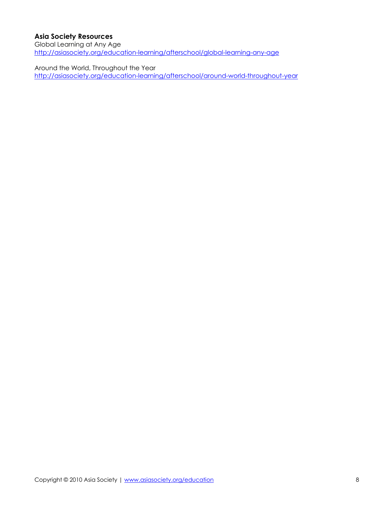# **Asia Society Resources**

Global Learning at Any Age http://asiasociety.org/education-learning/afterschool/global-learning-any-age

Around the World, Throughout the Year http://asiasociety.org/education-learning/afterschool/around-world-throughout-year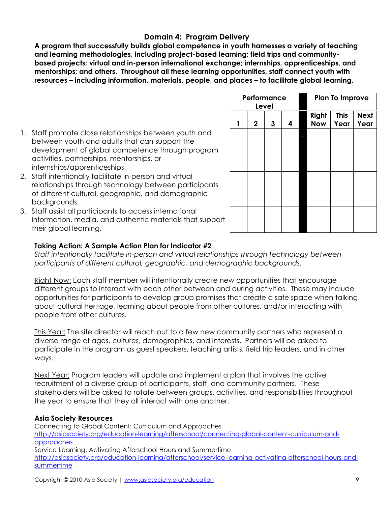# **Domain 4: Program Delivery**

**A program that successfully builds global competence in youth harnesses a variety of teaching and learning methodologies, including project-based learning; field trips and communitybased projects; virtual and in-person international exchange; internships, apprenticeships, and mentorships; and others. Throughout all these learning opportunities, staff connect youth with resources – including information, materials, people, and places – to facilitate global learning.** 

- 1. Staff promote close relationships between youth and between youth and adults that can support the development of global competence through program activities, partnerships, mentorships, or internships/apprenticeships.
- 2. Staff intentionally facilitate in-person and virtual relationships through technology between participants of different cultural, geographic, and demographic backgrounds.
- 3. Staff assist all participants to access international information, media, and authentic materials that support their global learning.

|   | Performance<br>Level |   |   |                     | <b>Plan To Improve</b> |                     |  |  |  |
|---|----------------------|---|---|---------------------|------------------------|---------------------|--|--|--|
| 1 | $\mathbf 2$          | 3 | 4 | Right<br><b>Now</b> | <b>This</b><br>Year    | <b>Next</b><br>Year |  |  |  |
|   |                      |   |   |                     |                        |                     |  |  |  |
|   |                      |   |   |                     |                        |                     |  |  |  |
|   |                      |   |   |                     |                        |                     |  |  |  |
|   |                      |   |   |                     |                        |                     |  |  |  |
|   |                      |   |   |                     |                        |                     |  |  |  |
|   |                      |   |   |                     |                        |                     |  |  |  |

# **Taking Action: A Sample Action Plan for Indicator #2**

*Staff intentionally facilitate in-person and virtual relationships through technology between participants of different cultural, geographic, and demographic backgrounds.* 

Right Now: Each staff member will intentionally create new opportunities that encourage different groups to interact with each other between and during activities. These may include opportunities for participants to develop group promises that create a safe space when talking about cultural heritage, learning about people from other cultures, and/or interacting with people from other cultures.

This Year: The site director will reach out to a few new community partners who represent a diverse range of ages, cultures, demographics, and interests. Partners will be asked to participate in the program as guest speakers, teaching artists, field trip leaders, and in other ways.

Next Year: Program leaders will update and implement a plan that involves the active recruitment of a diverse group of participants, staff, and community partners. These stakeholders will be asked to rotate between groups, activities, and responsibilities throughout the year to ensure that they all interact with one another.

# **Asia Society Resources**

Connecting to Global Content: Curriculum and Approaches http://asiasociety.org/education-learning/afterschool/connecting-global-content-curriculum-andapproaches Service Learning: Activating Afterschool Hours and Summertime http://asiasociety.org/education-learning/afterschool/service-learning-activating-afterschool-hours-andsummertime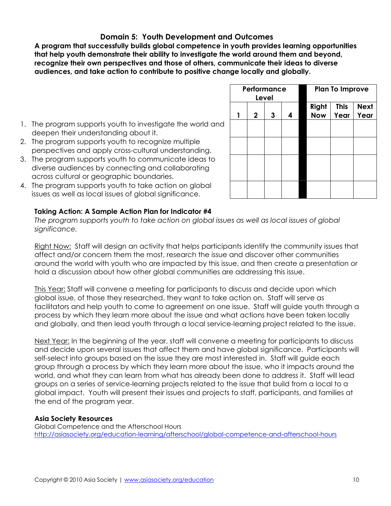# **Domain 5: Youth Development and Outcomes**

**A program that successfully builds global competence in youth provides learning opportunities that help youth demonstrate their ability to investigate the world around them and beyond, recognize their own perspectives and those of others, communicate their ideas to diverse audiences, and take action to contribute to positive change locally and globally.** 

|                                                                                                                                                         | Performance<br>Level |  |                    | <b>Plan To Improve</b> |                     |
|---------------------------------------------------------------------------------------------------------------------------------------------------------|----------------------|--|--------------------|------------------------|---------------------|
|                                                                                                                                                         |                      |  | Righ<br><b>Now</b> | <b>This</b><br>Year    | <b>Next</b><br>Year |
| 1. The program supports youth to investigate the world and<br>deepen their understanding about it.                                                      |                      |  |                    |                        |                     |
| 2. The program supports youth to recognize multiple<br>perspectives and apply cross-cultural understanding.                                             |                      |  |                    |                        |                     |
| 3. The program supports youth to communicate ideas to<br>diverse audiences by connecting and collaborating<br>across cultural or geographic boundaries. |                      |  |                    |                        |                     |
| 4. The program supports youth to take action on global<br>issues as well as local issues of global significance.                                        |                      |  |                    |                        |                     |

- deepen their understanding about it. 2. The program supports youth to recognize multiple
- perspectives and apply cross-cultural understanding.
- 3. The program supports youth to communicate ideas to diverse audiences by connecting and collaborating across cultural or geographic boundaries.
- 4. The program supports youth to take action on global issues as well as local issues of global significance.

# **Taking Action: A Sample Action Plan for Indicator #4**

*The program supports youth to take action on global issues as well as local issues of global significance.* 

Right Now: Staff will design an activity that helps participants identify the community issues that affect and/or concern them the most, research the issue and discover other communities around the world with youth who are impacted by this issue, and then create a presentation or hold a discussion about how other global communities are addressing this issue.

This Year: Staff will convene a meeting for participants to discuss and decide upon which global issue, of those they researched, they want to take action on. Staff will serve as facilitators and help youth to come to agreement on one issue. Staff will guide youth through a process by which they learn more about the issue and what actions have been taken locally and globally, and then lead youth through a local service-learning project related to the issue.

Next Year: In the beginning of the year, staff will convene a meeting for participants to discuss and decide upon several issues that affect them and have global significance. Participants will self-select into groups based on the issue they are most interested in. Staff will guide each group through a process by which they learn more about the issue, who it impacts around the world, and what they can learn from what has already been done to address it. Staff will lead groups on a series of service-learning projects related to the issue that build from a local to a global impact. Youth will present their issues and projects to staff, participants, and families at the end of the program year.

# **Asia Society Resources**

Global Competence and the Afterschool Hours http://asiasociety.org/education-learning/afterschool/global-competence-and-afterschool-hours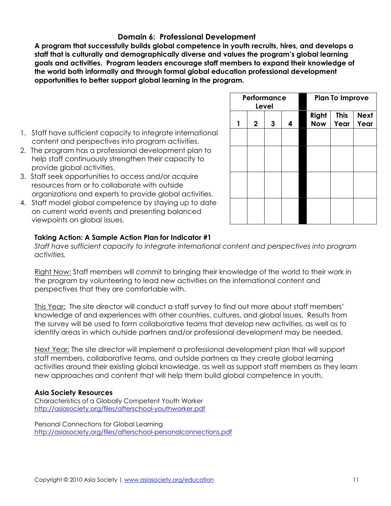# **Domain 6: Professional Development**

**A program that successfully builds global competence in youth recruits, hires, and develops a staff that is culturally and demographically diverse and values the program's global learning goals and activities. Program leaders encourage staff members to expand their knowledge of the world both informally and through formal global education professional development opportunities to better support global learning in the program.** 

- 1. Staff have sufficient capacity to integrate international content and perspectives into program activities.
- 2. The program has a professional development plan to help staff continuously strengthen their capacity to provide global activities.
- 3. Staff seek opportunities to access and/or acquire resources from or to collaborate with outside organizations and experts to provide global activities.
- 4. Staff model global competence by staying up to date on current world events and presenting balanced viewpoints on global issues.

|   | Performance | Level |   |                     | <b>Plan To Improve</b> |                     |
|---|-------------|-------|---|---------------------|------------------------|---------------------|
| 1 | $\mathbf 2$ | 3     | 4 | Right<br><b>Now</b> | <b>This</b><br>Year    | <b>Next</b><br>Year |
|   |             |       |   |                     |                        |                     |
|   |             |       |   |                     |                        |                     |
|   |             |       |   |                     |                        |                     |
|   |             |       |   |                     |                        |                     |

# **Taking Action: A Sample Action Plan for Indicator #1**

*Staff have sufficient capacity to integrate international content and perspectives into program activities.* 

Right Now: Staff members will commit to bringing their knowledge of the world to their work in the program by volunteering to lead new activities on the international content and perspectives that they are comfortable with.

This Year: The site director will conduct a staff survey to find out more about staff members' knowledge of and experiences with other countries, cultures, and global issues. Results from the survey will be used to form collaborative teams that develop new activities, as well as to identify areas in which outside partners and/or professional development may be needed.

Next Year: The site director will implement a professional development plan that will support staff members, collaborative teams, and outside partners as they create global learning activities around their existing global knowledge, as well as support staff members as they learn new approaches and content that will help them build global competence in youth.

# **Asia Society Resources**

Characteristics of a Globally Competent Youth Worker http://asiasociety.org/files/afterschool-youthworker.pdf

Personal Connections for Global Learning http://asiasociety.org/files/afterschool-personalconnections.pdf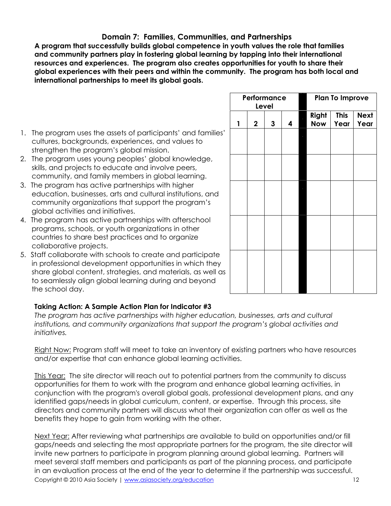# **Domain 7: Families, Communities, and Partnerships**

**A program that successfully builds global competence in youth values the role that families and community partners play in fostering global learning by tapping into their international resources and experiences. The program also creates opportunities for youth to share their global experiences with their peers and within the community. The program has both local and international partnerships to meet its global goals.** 

- 1. The program uses the assets of participants' and families' cultures, backgrounds, experiences, and values to strengthen the program's global mission.
- 2. The program uses young peoples' global knowledge, skills, and projects to educate and involve peers, community, and family members in global learning.
- 3. The program has active partnerships with higher education, businesses, arts and cultural institutions, and community organizations that support the program's global activities and initiatives.
- 4. The program has active partnerships with afterschool programs, schools, or youth organizations in other countries to share best practices and to organize collaborative projects.
- 5. Staff collaborate with schools to create and participate in professional development opportunities in which they share global content, strategies, and materials, as well as to seamlessly align global learning during and beyond the school day.

# **Taking Action: A Sample Action Plan for Indicator #3**

*The program has active partnerships with higher education, businesses, arts and cultural institutions, and community organizations that support the program's global activities and initiatives.* 

Right Now: Program staff will meet to take an inventory of existing partners who have resources and/or expertise that can enhance global learning activities.

This Year: The site director will reach out to potential partners from the community to discuss opportunities for them to work with the program and enhance global learning activities, in conjunction with the program's overall global goals, professional development plans, and any identified gaps/needs in global curriculum, content, or expertise. Through this process, site directors and community partners will discuss what their organization can offer as well as the benefits they hope to gain from working with the other.

Copyright © 2010 Asia Society | www.asiasociety.org/education 12 Next Year: After reviewing what partnerships are available to build on opportunities and/or fill gaps/needs and selecting the most appropriate partners for the program, the site director will invite new partners to participate in program planning around global learning. Partners will meet several staff members and participants as part of the planning process, and participate in an evaluation process at the end of the year to determine if the partnership was successful.

|   | Performance<br>Level |   |   |  |                     | <b>Plan To Improve</b> |                     |
|---|----------------------|---|---|--|---------------------|------------------------|---------------------|
| 1 | $\mathbf 2$          | 3 | 4 |  | Right<br><b>Now</b> | <b>This</b><br>Year    | <b>Next</b><br>Year |
|   |                      |   |   |  |                     |                        |                     |
|   |                      |   |   |  |                     |                        |                     |
|   |                      |   |   |  |                     |                        |                     |
|   |                      |   |   |  |                     |                        |                     |
|   |                      |   |   |  |                     |                        |                     |
|   |                      |   |   |  |                     |                        |                     |
|   |                      |   |   |  |                     |                        |                     |
|   |                      |   |   |  |                     |                        |                     |
|   |                      |   |   |  |                     |                        |                     |
|   |                      |   |   |  |                     |                        |                     |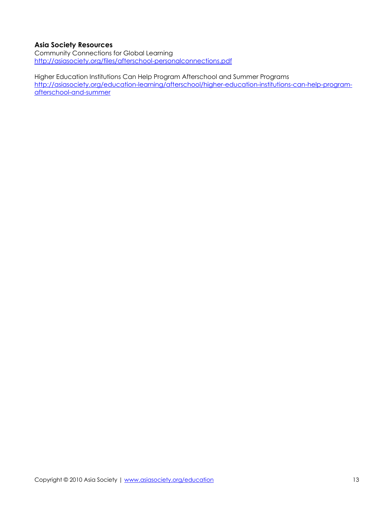# **Asia Society Resources**

Community Connections for Global Learning http://asiasociety.org/files/afterschool-personalconnections.pdf

Higher Education Institutions Can Help Program Afterschool and Summer Programs http://asiasociety.org/education-learning/afterschool/higher-education-institutions-can-help-programafterschool-and-summer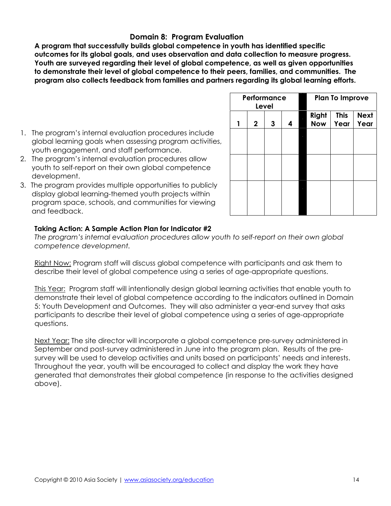# **Domain 8: Program Evaluation**

**A program that successfully builds global competence in youth has identified specific outcomes for its global goals, and uses observation and data collection to measure progress. Youth are surveyed regarding their level of global competence, as well as given opportunities to demonstrate their level of global competence to their peers, families, and communities. The program also collects feedback from families and partners regarding its global learning efforts.** 

- 1. The program's internal evaluation procedures include global learning goals when assessing program activities, youth engagement, and staff performance.
- 2. The program's internal evaluation procedures allow youth to self-report on their own global competence development.
- 3. The program provides multiple opportunities to publicly display global learning-themed youth projects within program space, schools, and communities for viewing and feedback.

|             |   |       |             | <b>Plan To Improve</b>                                    |  |      |  |  |
|-------------|---|-------|-------------|-----------------------------------------------------------|--|------|--|--|
| $\mathbf 2$ | 3 | 4     |             | <b>This</b><br>Right<br><b>Next</b><br><b>Now</b><br>Year |  |      |  |  |
|             |   |       |             |                                                           |  |      |  |  |
|             |   |       |             |                                                           |  |      |  |  |
|             |   |       |             |                                                           |  |      |  |  |
|             |   |       |             |                                                           |  |      |  |  |
|             |   |       |             |                                                           |  |      |  |  |
|             |   | Level | Performance |                                                           |  | Year |  |  |

# **Taking Action: A Sample Action Plan for Indicator #2**

*The program's internal evaluation procedures allow youth to self-report on their own global competence development.* 

Right Now: Program staff will discuss global competence with participants and ask them to describe their level of global competence using a series of age-appropriate questions.

This Year: Program staff will intentionally design global learning activities that enable youth to demonstrate their level of global competence according to the indicators outlined in Domain 5: Youth Development and Outcomes. They will also administer a year-end survey that asks participants to describe their level of global competence using a series of age-appropriate questions.

Next Year: The site director will incorporate a global competence pre-survey administered in September and post-survey administered in June into the program plan. Results of the presurvey will be used to develop activities and units based on participants' needs and interests. Throughout the year, youth will be encouraged to collect and display the work they have generated that demonstrates their global competence (in response to the activities designed above).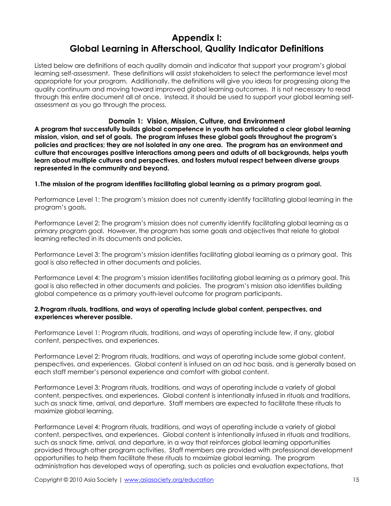# **Appendix I: Global Learning in Afterschool, Quality Indicator Definitions**

Listed below are definitions of each quality domain and indicator that support your program's global learning self-assessment. These definitions will assist stakeholders to select the performance level most appropriate for your program. Additionally, the definitions will give you ideas for progressing along the quality continuum and moving toward improved global learning outcomes. It is not necessary to read through this entire document all at once. Instead, it should be used to support your global learning selfassessment as you go through the process.

# **Domain 1: Vision, Mission, Culture, and Environment**

**A program that successfully builds global competence in youth has articulated a clear global learning mission, vision, and set of goals. The program infuses these global goals throughout the program's policies and practices; they are not isolated in any one area. The program has an environment and culture that encourages positive interactions among peers and adults of all backgrounds, helps youth learn about multiple cultures and perspectives, and fosters mutual respect between diverse groups represented in the community and beyond.** 

**1.The mission of the program identifies facilitating global learning as a primary program goal.** 

Performance Level 1: The program's mission does not currently identify facilitating global learning in the program's goals.

Performance Level 2: The program's mission does not currently identify facilitating global learning as a primary program goal. However, the program has some goals and objectives that relate to global learning reflected in its documents and policies.

Performance Level 3: The program's mission identifies facilitating global learning as a primary goal. This goal is also reflected in other documents and policies.

Performance Level 4: The program's mission identifies facilitating global learning as a primary goal. This goal is also reflected in other documents and policies. The program's mission also identifies building global competence as a primary youth-level outcome for program participants.

### **2.Program rituals, traditions, and ways of operating include global content, perspectives, and experiences wherever possible.**

Performance Level 1: Program rituals, traditions, and ways of operating include few, if any, global content, perspectives, and experiences.

Performance Level 2: Program rituals, traditions, and ways of operating include some global content, perspectives, and experiences. Global content is infused on an ad hoc basis, and is generally based on each staff member's personal experience and comfort with global content.

Performance Level 3: Program rituals, traditions, and ways of operating include a variety of global content, perspectives, and experiences. Global content is intentionally infused in rituals and traditions, such as snack time, arrival, and departure. Staff members are expected to facilitate these rituals to maximize global learning.

Performance Level 4: Program rituals, traditions, and ways of operating include a variety of global content, perspectives, and experiences. Global content is intentionally infused in rituals and traditions, such as snack time, arrival, and departure, in a way that reinforces global learning opportunities provided through other program activities. Staff members are provided with professional development opportunities to help them facilitate these rituals to maximize global learning. The program administration has developed ways of operating, such as policies and evaluation expectations, that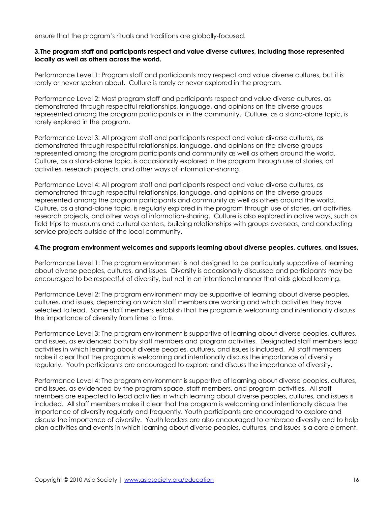ensure that the program's rituals and traditions are globally-focused.

### **3.The program staff and participants respect and value diverse cultures, including those represented locally as well as others across the world.**

Performance Level 1: Program staff and participants may respect and value diverse cultures, but it is rarely or never spoken about. Culture is rarely or never explored in the program.

Performance Level 2: Most program staff and participants respect and value diverse cultures, as demonstrated through respectful relationships, language, and opinions on the diverse groups represented among the program participants or in the community. Culture, as a stand-alone topic, is rarely explored in the program.

Performance Level 3: All program staff and participants respect and value diverse cultures, as demonstrated through respectful relationships, language, and opinions on the diverse groups represented among the program participants and community as well as others around the world. Culture, as a stand-alone topic, is occasionally explored in the program through use of stories, art activities, research projects, and other ways of information-sharing.

Performance Level 4: All program staff and participants respect and value diverse cultures, as demonstrated through respectful relationships, language, and opinions on the diverse groups represented among the program participants and community as well as others around the world. Culture, as a stand-alone topic, is regularly explored in the program through use of stories, art activities, research projects, and other ways of information-sharing. Culture is also explored in active ways, such as field trips to museums and cultural centers, building relationships with groups overseas, and conducting service projects outside of the local community.

#### **4.The program environment welcomes and supports learning about diverse peoples, cultures, and issues.**

Performance Level 1: The program environment is not designed to be particularly supportive of learning about diverse peoples, cultures, and issues. Diversity is occasionally discussed and participants may be encouraged to be respectful of diversity, but not in an intentional manner that aids global learning.

Performance Level 2: The program environment may be supportive of learning about diverse peoples, cultures, and issues, depending on which staff members are working and which activities they have selected to lead. Some staff members establish that the program is welcoming and intentionally discuss the importance of diversity from time to time.

Performance Level 3: The program environment is supportive of learning about diverse peoples, cultures, and issues, as evidenced both by staff members and program activities. Designated staff members lead activities in which learning about diverse peoples, cultures, and issues is included. All staff members make it clear that the program is welcoming and intentionally discuss the importance of diversity regularly. Youth participants are encouraged to explore and discuss the importance of diversity.

Performance Level 4: The program environment is supportive of learning about diverse peoples, cultures, and issues, as evidenced by the program space, staff members, and program activities. All staff members are expected to lead activities in which learning about diverse peoples, cultures, and issues is included. All staff members make it clear that the program is welcoming and intentionally discuss the importance of diversity regularly and frequently. Youth participants are encouraged to explore and discuss the importance of diversity. Youth leaders are also encouraged to embrace diversity and to help plan activities and events in which learning about diverse peoples, cultures, and issues is a core element.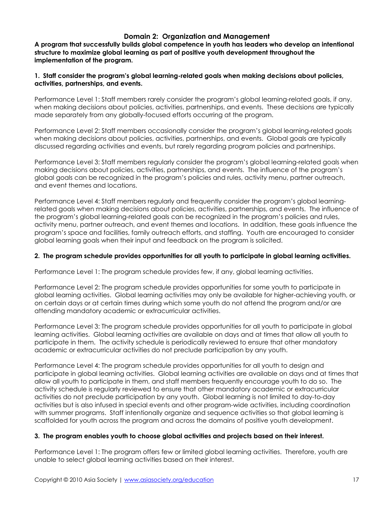# **Domain 2: Organization and Management**

**A program that successfully builds global competence in youth has leaders who develop an intentional structure to maximize global learning as part of positive youth development throughout the implementation of the program.** 

### **1. Staff consider the program's global learning-related goals when making decisions about policies, activities, partnerships, and events.**

Performance Level 1: Staff members rarely consider the program's global learning-related goals, if any, when making decisions about policies, activities, partnerships, and events. These decisions are typically made separately from any globally-focused efforts occurring at the program.

Performance Level 2: Staff members occasionally consider the program's global learning-related goals when making decisions about policies, activities, partnerships, and events. Global goals are typically discussed regarding activities and events, but rarely regarding program policies and partnerships.

Performance Level 3: Staff members regularly consider the program's global learning-related goals when making decisions about policies, activities, partnerships, and events. The influence of the program's global goals can be recognized in the program's policies and rules, activity menu, partner outreach, and event themes and locations.

Performance Level 4: Staff members regularly and frequently consider the program's global learningrelated goals when making decisions about policies, activities, partnerships, and events. The influence of the program's global learning-related goals can be recognized in the program's policies and rules, activity menu, partner outreach, and event themes and locations. In addition, these goals influence the program's space and facilities, family outreach efforts, and staffing. Youth are encouraged to consider global learning goals when their input and feedback on the program is solicited.

### **2. The program schedule provides opportunities for all youth to participate in global learning activities.**

Performance Level 1: The program schedule provides few, if any, global learning activities.

Performance Level 2: The program schedule provides opportunities for some youth to participate in global learning activities. Global learning activities may only be available for higher-achieving youth, or on certain days or at certain times during which some youth do not attend the program and/or are attending mandatory academic or extracurricular activities.

Performance Level 3: The program schedule provides opportunities for all youth to participate in global learning activities. Global learning activities are available on days and at times that allow all youth to participate in them. The activity schedule is periodically reviewed to ensure that other mandatory academic or extracurricular activities do not preclude participation by any youth.

Performance Level 4: The program schedule provides opportunities for all youth to design and participate in global learning activities. Global learning activities are available on days and at times that allow all youth to participate in them, and staff members frequently encourage youth to do so. The activity schedule is regularly reviewed to ensure that other mandatory academic or extracurricular activities do not preclude participation by any youth. Global learning is not limited to day-to-day activities but is also infused in special events and other program-wide activities, including coordination with summer programs. Staff intentionally organize and sequence activities so that global learning is scaffolded for youth across the program and across the domains of positive youth development.

### **3. The program enables youth to choose global activities and projects based on their interest.**

Performance Level 1: The program offers few or limited global learning activities. Therefore, youth are unable to select global learning activities based on their interest.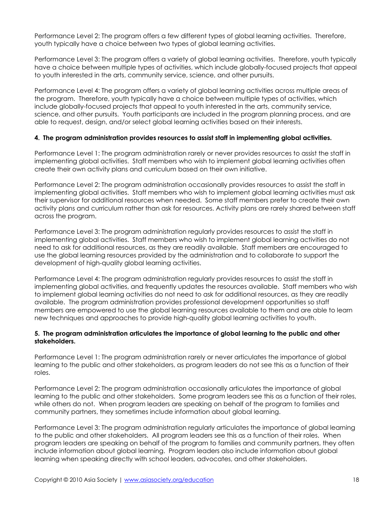Performance Level 2: The program offers a few different types of global learning activities. Therefore, youth typically have a choice between two types of global learning activities.

Performance Level 3: The program offers a variety of global learning activities. Therefore, youth typically have a choice between multiple types of activities, which include globally-focused projects that appeal to youth interested in the arts, community service, science, and other pursuits.

Performance Level 4: The program offers a variety of global learning activities across multiple areas of the program. Therefore, youth typically have a choice between multiple types of activities, which include globally-focused projects that appeal to youth interested in the arts, community service, science, and other pursuits. Youth participants are included in the program planning process, and are able to request, design, and/or select global learning activities based on their interests.

### **4. The program administration provides resources to assist staff in implementing global activities.**

Performance Level 1: The program administration rarely or never provides resources to assist the staff in implementing global activities. Staff members who wish to implement global learning activities often create their own activity plans and curriculum based on their own initiative.

Performance Level 2: The program administration occasionally provides resources to assist the staff in implementing global activities. Staff members who wish to implement global learning activities must ask their supervisor for additional resources when needed. Some staff members prefer to create their own activity plans and curriculum rather than ask for resources. Activity plans are rarely shared between staff across the program.

Performance Level 3: The program administration regularly provides resources to assist the staff in implementing global activities. Staff members who wish to implement global learning activities do not need to ask for additional resources, as they are readily available. Staff members are encouraged to use the global learning resources provided by the administration and to collaborate to support the development of high-quality global learning activities.

Performance Level 4: The program administration regularly provides resources to assist the staff in implementing global activities, and frequently updates the resources available. Staff members who wish to implement global learning activities do not need to ask for additional resources, as they are readily available. The program administration provides professional development opportunities so staff members are empowered to use the global learning resources available to them and are able to learn new techniques and approaches to provide high-quality global learning activities to youth.

# **5. The program administration articulates the importance of global learning to the public and other stakeholders.**

Performance Level 1: The program administration rarely or never articulates the importance of global learning to the public and other stakeholders, as program leaders do not see this as a function of their roles.

Performance Level 2: The program administration occasionally articulates the importance of global learning to the public and other stakeholders. Some program leaders see this as a function of their roles, while others do not. When program leaders are speaking on behalf of the program to families and community partners, they sometimes include information about global learning.

Performance Level 3: The program administration regularly articulates the importance of global learning to the public and other stakeholders. All program leaders see this as a function of their roles. When program leaders are speaking on behalf of the program to families and community partners, they often include information about global learning. Program leaders also include information about global learning when speaking directly with school leaders, advocates, and other stakeholders.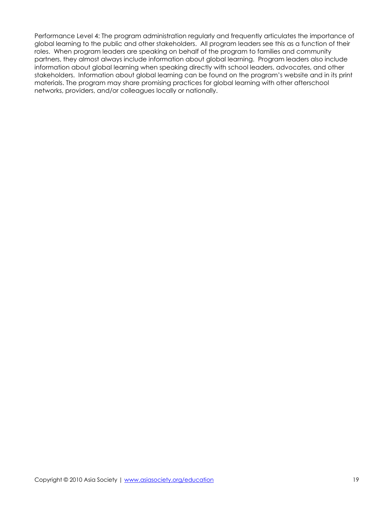Performance Level 4: The program administration regularly and frequently articulates the importance of global learning to the public and other stakeholders. All program leaders see this as a function of their roles. When program leaders are speaking on behalf of the program to families and community partners, they almost always include information about global learning. Program leaders also include information about global learning when speaking directly with school leaders, advocates, and other stakeholders. Information about global learning can be found on the program's website and in its print materials. The program may share promising practices for global learning with other afterschool networks, providers, and/or colleagues locally or nationally.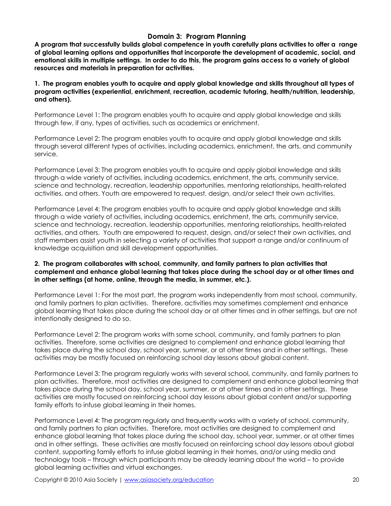# **Domain 3: Program Planning**

**A program that successfully builds global competence in youth carefully plans activities to offer a range of global learning options and opportunities that incorporate the development of academic, social, and emotional skills in multiple settings. In order to do this, the program gains access to a variety of global resources and materials in preparation for activities.** 

**1. The program enables youth to acquire and apply global knowledge and skills throughout all types of program activities (experiential, enrichment, recreation, academic tutoring, health/nutrition, leadership, and others).** 

Performance Level 1: The program enables youth to acquire and apply global knowledge and skills through few, if any, types of activities, such as academics or enrichment.

Performance Level 2: The program enables youth to acquire and apply global knowledge and skills through several different types of activities, including academics, enrichment, the arts, and community service.

Performance Level 3: The program enables youth to acquire and apply global knowledge and skills through a wide variety of activities, including academics, enrichment, the arts, community service, science and technology, recreation, leadership opportunities, mentoring relationships, health-related activities, and others. Youth are empowered to request, design, and/or select their own activities.

Performance Level 4: The program enables youth to acquire and apply global knowledge and skills through a wide variety of activities, including academics, enrichment, the arts, community service, science and technology, recreation, leadership opportunities, mentoring relationships, health-related activities, and others. Youth are empowered to request, design, and/or select their own activities, and staff members assist youth in selecting a variety of activities that support a range and/or continuum of knowledge acquisition and skill development opportunities.

### **2. The program collaborates with school, community, and family partners to plan activities that complement and enhance global learning that takes place during the school day or at other times and in other settings (at home, online, through the media, in summer, etc.).**

Performance Level 1: For the most part, the program works independently from most school, community, and family partners to plan activities. Therefore, activities may sometimes complement and enhance global learning that takes place during the school day or at other times and in other settings, but are not intentionally designed to do so.

Performance Level 2: The program works with some school, community, and family partners to plan activities. Therefore, some activities are designed to complement and enhance global learning that takes place during the school day, school year, summer, or at other times and in other settings. These activities may be mostly focused on reinforcing school day lessons about global content.

Performance Level 3: The program regularly works with several school, community, and family partners to plan activities. Therefore, most activities are designed to complement and enhance global learning that takes place during the school day, school year, summer, or at other times and in other settings. These activities are mostly focused on reinforcing school day lessons about global content and/or supporting family efforts to infuse global learning in their homes.

Performance Level 4: The program regularly and frequently works with a variety of school, community, and family partners to plan activities. Therefore, most activities are designed to complement and enhance global learning that takes place during the school day, school year, summer, or at other times and in other settings. These activities are mostly focused on reinforcing school day lessons about global content, supporting family efforts to infuse global learning in their homes, and/or using media and technology tools – through which participants may be already learning about the world – to provide global learning activities and virtual exchanges.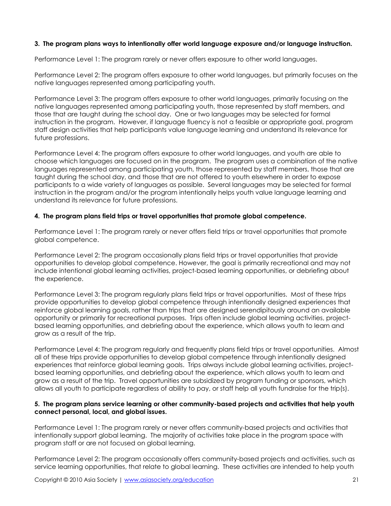# **3. The program plans ways to intentionally offer world language exposure and/or language instruction.**

Performance Level 1: The program rarely or never offers exposure to other world languages.

Performance Level 2: The program offers exposure to other world languages, but primarily focuses on the native languages represented among participating youth.

Performance Level 3: The program offers exposure to other world languages, primarily focusing on the native languages represented among participating youth, those represented by staff members, and those that are taught during the school day. One or two languages may be selected for formal instruction in the program. However, if language fluency is not a feasible or appropriate goal, program staff design activities that help participants value language learning and understand its relevance for future professions.

Performance Level 4: The program offers exposure to other world languages, and youth are able to choose which languages are focused on in the program. The program uses a combination of the native languages represented among participating youth, those represented by staff members, those that are taught during the school day, and those that are not offered to youth elsewhere in order to expose participants to a wide variety of languages as possible. Several languages may be selected for formal instruction in the program and/or the program intentionally helps youth value language learning and understand its relevance for future professions.

# **4. The program plans field trips or travel opportunities that promote global competence.**

Performance Level 1: The program rarely or never offers field trips or travel opportunities that promote global competence.

Performance Level 2: The program occasionally plans field trips or travel opportunities that provide opportunities to develop global competence. However, the goal is primarily recreational and may not include intentional global learning activities, project-based learning opportunities, or debriefing about the experience.

Performance Level 3: The program regularly plans field trips or travel opportunities. Most of these trips provide opportunities to develop global competence through intentionally designed experiences that reinforce global learning goals, rather than trips that are designed serendipitously around an available opportunity or primarily for recreational purposes. Trips often include global learning activities, projectbased learning opportunities, and debriefing about the experience, which allows youth to learn and grow as a result of the trip.

Performance Level 4: The program regularly and frequently plans field trips or travel opportunities. Almost all of these trips provide opportunities to develop global competence through intentionally designed experiences that reinforce global learning goals. Trips always include global learning activities, projectbased learning opportunities, and debriefing about the experience, which allows youth to learn and grow as a result of the trip. Travel opportunities are subsidized by program funding or sponsors, which allows all youth to participate regardless of ability to pay, or staff help all youth fundraise for the trip(s).

### **5. The program plans service learning or other community-based projects and activities that help youth connect personal, local, and global issues.**

Performance Level 1: The program rarely or never offers community-based projects and activities that intentionally support global learning. The majority of activities take place in the program space with program staff or are not focused on global learning.

Performance Level 2: The program occasionally offers community-based projects and activities, such as service learning opportunities, that relate to global learning. These activities are intended to help youth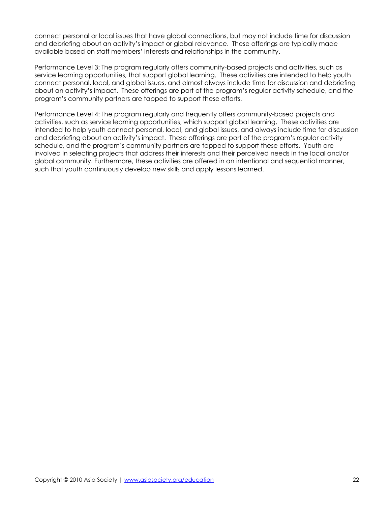connect personal or local issues that have global connections, but may not include time for discussion and debriefing about an activity's impact or global relevance. These offerings are typically made available based on staff members' interests and relationships in the community.

Performance Level 3: The program regularly offers community-based projects and activities, such as service learning opportunities, that support global learning. These activities are intended to help youth connect personal, local, and global issues, and almost always include time for discussion and debriefing about an activity's impact. These offerings are part of the program's regular activity schedule, and the program's community partners are tapped to support these efforts.

Performance Level 4: The program regularly and frequently offers community-based projects and activities, such as service learning opportunities, which support global learning. These activities are intended to help youth connect personal, local, and global issues, and always include time for discussion and debriefing about an activity's impact. These offerings are part of the program's regular activity schedule, and the program's community partners are tapped to support these efforts. Youth are involved in selecting projects that address their interests and their perceived needs in the local and/or global community. Furthermore, these activities are offered in an intentional and sequential manner, such that youth continuously develop new skills and apply lessons learned.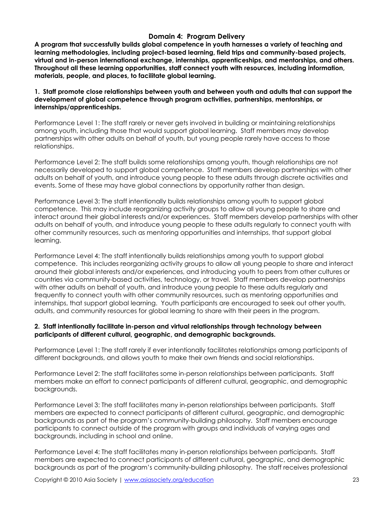### **Domain 4: Program Delivery**

**A program that successfully builds global competence in youth harnesses a variety of teaching and learning methodologies, including project-based learning, field trips and community-based projects, virtual and in-person international exchange, internships, apprenticeships, and mentorships, and others. Throughout all these learning opportunities, staff connect youth with resources, including information, materials, people, and places, to facilitate global learning.** 

**1. Staff promote close relationships between youth and between youth and adults that can support the development of global competence through program activities, partnerships, mentorships, or internships/apprenticeships.** 

Performance Level 1: The staff rarely or never gets involved in building or maintaining relationships among youth, including those that would support global learning. Staff members may develop partnerships with other adults on behalf of youth, but young people rarely have access to those relationships.

Performance Level 2: The staff builds some relationships among youth, though relationships are not necessarily developed to support global competence. Staff members develop partnerships with other adults on behalf of youth, and introduce young people to these adults through discrete activities and events. Some of these may have global connections by opportunity rather than design.

Performance Level 3: The staff intentionally builds relationships among youth to support global competence. This may include reorganizing activity groups to allow all young people to share and interact around their global interests and/or experiences. Staff members develop partnerships with other adults on behalf of youth, and introduce young people to these adults regularly to connect youth with other community resources, such as mentoring opportunities and internships, that support global learning.

Performance Level 4: The staff intentionally builds relationships among youth to support global competence. This includes reorganizing activity groups to allow all young people to share and interact around their global interests and/or experiences, and introducing youth to peers from other cultures or countries via community-based activities, technology, or travel. Staff members develop partnerships with other adults on behalf of youth, and introduce young people to these adults regularly and frequently to connect youth with other community resources, such as mentoring opportunities and internships, that support global learning. Youth participants are encouraged to seek out other youth, adults, and community resources for global learning to share with their peers in the program.

### **2. Staff intentionally facilitate in-person and virtual relationships through technology between participants of different cultural, geographic, and demographic backgrounds.**

Performance Level 1: The staff rarely if ever intentionally facilitates relationships among participants of different backgrounds, and allows youth to make their own friends and social relationships.

Performance Level 2: The staff facilitates some in-person relationships between participants. Staff members make an effort to connect participants of different cultural, geographic, and demographic backgrounds.

Performance Level 3: The staff facilitates many in-person relationships between participants. Staff members are expected to connect participants of different cultural, geographic, and demographic backgrounds as part of the program's community-building philosophy. Staff members encourage participants to connect outside of the program with groups and individuals of varying ages and backgrounds, including in school and online.

Performance Level 4: The staff facilitates many in-person relationships between participants. Staff members are expected to connect participants of different cultural, geographic, and demographic backgrounds as part of the program's community-building philosophy. The staff receives professional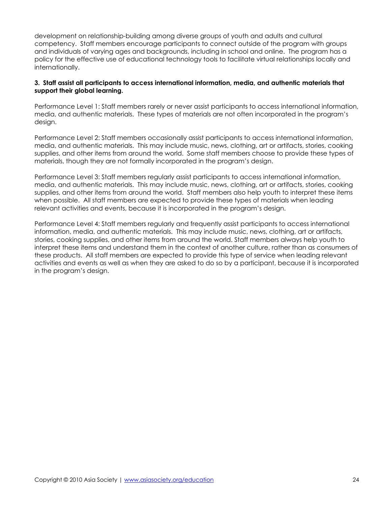development on relationship-building among diverse groups of youth and adults and cultural competency. Staff members encourage participants to connect outside of the program with groups and individuals of varying ages and backgrounds, including in school and online. The program has a policy for the effective use of educational technology tools to facilitate virtual relationships locally and internationally.

### **3. Staff assist all participants to access international information, media, and authentic materials that support their global learning.**

Performance Level 1: Staff members rarely or never assist participants to access international information, media, and authentic materials. These types of materials are not often incorporated in the program's design.

Performance Level 2: Staff members occasionally assist participants to access international information, media, and authentic materials. This may include music, news, clothing, art or artifacts, stories, cooking supplies, and other items from around the world. Some staff members choose to provide these types of materials, though they are not formally incorporated in the program's design.

Performance Level 3: Staff members regularly assist participants to access international information, media, and authentic materials. This may include music, news, clothing, art or artifacts, stories, cooking supplies, and other items from around the world. Staff members also help youth to interpret these items when possible. All staff members are expected to provide these types of materials when leading relevant activities and events, because it is incorporated in the program's design.

Performance Level 4: Staff members regularly and frequently assist participants to access international information, media, and authentic materials. This may include music, news, clothing, art or artifacts, stories, cooking supplies, and other items from around the world. Staff members always help youth to interpret these items and understand them in the context of another culture, rather than as consumers of these products. All staff members are expected to provide this type of service when leading relevant activities and events as well as when they are asked to do so by a participant, because it is incorporated in the program's design.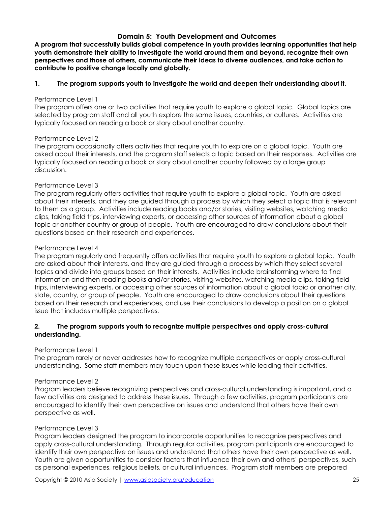# **Domain 5: Youth Development and Outcomes**

**A program that successfully builds global competence in youth provides learning opportunities that help youth demonstrate their ability to investigate the world around them and beyond, recognize their own perspectives and those of others, communicate their ideas to diverse audiences, and take action to contribute to positive change locally and globally.** 

### **1. The program supports youth to investigate the world and deepen their understanding about it.**

#### Performance Level 1

The program offers one or two activities that require youth to explore a global topic. Global topics are selected by program staff and all youth explore the same issues, countries, or cultures. Activities are typically focused on reading a book or story about another country.

### Performance Level 2

The program occasionally offers activities that require youth to explore on a global topic. Youth are asked about their interests, and the program staff selects a topic based on their responses. Activities are typically focused on reading a book or story about another country followed by a large group discussion.

### Performance Level 3

The program regularly offers activities that require youth to explore a global topic. Youth are asked about their interests, and they are guided through a process by which they select a topic that is relevant to them as a group. Activities include reading books and/or stories, visiting websites, watching media clips, taking field trips, interviewing experts, or accessing other sources of information about a global topic or another country or group of people. Youth are encouraged to draw conclusions about their questions based on their research and experiences.

#### Performance Level 4

The program regularly and frequently offers activities that require youth to explore a global topic. Youth are asked about their interests, and they are guided through a process by which they select several topics and divide into groups based on their interests. Activities include brainstorming where to find information and then reading books and/or stories, visiting websites, watching media clips, taking field trips, interviewing experts, or accessing other sources of information about a global topic or another city, state, country, or group of people. Youth are encouraged to draw conclusions about their questions based on their research and experiences, and use their conclusions to develop a position on a global issue that includes multiple perspectives.

### **2. The program supports youth to recognize multiple perspectives and apply cross-cultural understanding.**

### Performance Level 1

The program rarely or never addresses how to recognize multiple perspectives or apply cross-cultural understanding. Some staff members may touch upon these issues while leading their activities.

### Performance Level 2

Program leaders believe recognizing perspectives and cross-cultural understanding is important, and a few activities are designed to address these issues. Through a few activities, program participants are encouraged to identify their own perspective on issues and understand that others have their own perspective as well.

### Performance Level 3

Program leaders designed the program to incorporate opportunities to recognize perspectives and apply cross-cultural understanding. Through regular activities, program participants are encouraged to identify their own perspective on issues and understand that others have their own perspective as well. Youth are given opportunities to consider factors that influence their own and others' perspectives, such as personal experiences, religious beliefs, or cultural influences. Program staff members are prepared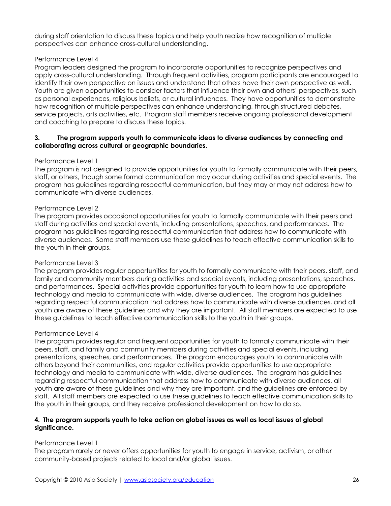during staff orientation to discuss these topics and help youth realize how recognition of multiple perspectives can enhance cross-cultural understanding.

### Performance Level 4

Program leaders designed the program to incorporate opportunities to recognize perspectives and apply cross-cultural understanding. Through frequent activities, program participants are encouraged to identify their own perspective on issues and understand that others have their own perspective as well. Youth are given opportunities to consider factors that influence their own and others' perspectives, such as personal experiences, religious beliefs, or cultural influences. They have opportunities to demonstrate how recognition of multiple perspectives can enhance understanding, through structured debates, service projects, arts activities, etc. Program staff members receive ongoing professional development and coaching to prepare to discuss these topics.

### **3. The program supports youth to communicate ideas to diverse audiences by connecting and collaborating across cultural or geographic boundaries.**

### Performance Level 1

The program is not designed to provide opportunities for youth to formally communicate with their peers, staff, or others, though some formal communication may occur during activities and special events. The program has guidelines regarding respectful communication, but they may or may not address how to communicate with diverse audiences.

### Performance Level 2

The program provides occasional opportunities for youth to formally communicate with their peers and staff during activities and special events, including presentations, speeches, and performances. The program has guidelines regarding respectful communication that address how to communicate with diverse audiences. Some staff members use these guidelines to teach effective communication skills to the youth in their groups.

### Performance Level 3

The program provides regular opportunities for youth to formally communicate with their peers, staff, and family and community members during activities and special events, including presentations, speeches, and performances. Special activities provide opportunities for youth to learn how to use appropriate technology and media to communicate with wide, diverse audiences. The program has guidelines regarding respectful communication that address how to communicate with diverse audiences, and all youth are aware of these guidelines and why they are important. All staff members are expected to use these guidelines to teach effective communication skills to the youth in their groups.

### Performance Level 4

The program provides regular and frequent opportunities for youth to formally communicate with their peers, staff, and family and community members during activities and special events, including presentations, speeches, and performances. The program encourages youth to communicate with others beyond their communities, and regular activities provide opportunities to use appropriate technology and media to communicate with wide, diverse audiences. The program has guidelines regarding respectful communication that address how to communicate with diverse audiences, all youth are aware of these guidelines and why they are important, and the guidelines are enforced by staff. All staff members are expected to use these guidelines to teach effective communication skills to the youth in their groups, and they receive professional development on how to do so.

### **4. The program supports youth to take action on global issues as well as local issues of global significance.**

# Performance Level 1

The program rarely or never offers opportunities for youth to engage in service, activism, or other community-based projects related to local and/or global issues.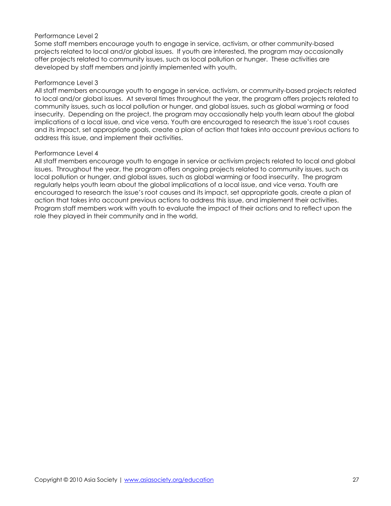#### Performance Level 2

Some staff members encourage youth to engage in service, activism, or other community-based projects related to local and/or global issues. If youth are interested, the program may occasionally offer projects related to community issues, such as local pollution or hunger. These activities are developed by staff members and jointly implemented with youth.

#### Performance Level 3

All staff members encourage youth to engage in service, activism, or community-based projects related to local and/or global issues. At several times throughout the year, the program offers projects related to community issues, such as local pollution or hunger, and global issues, such as global warming or food insecurity. Depending on the project, the program may occasionally help youth learn about the global implications of a local issue, and vice versa. Youth are encouraged to research the issue's root causes and its impact, set appropriate goals, create a plan of action that takes into account previous actions to address this issue, and implement their activities.

#### Performance Level 4

All staff members encourage youth to engage in service or activism projects related to local and global issues. Throughout the year, the program offers ongoing projects related to community issues, such as local pollution or hunger, and global issues, such as global warming or food insecurity. The program regularly helps youth learn about the global implications of a local issue, and vice versa. Youth are encouraged to research the issue's root causes and its impact, set appropriate goals, create a plan of action that takes into account previous actions to address this issue, and implement their activities. Program staff members work with youth to evaluate the impact of their actions and to reflect upon the role they played in their community and in the world.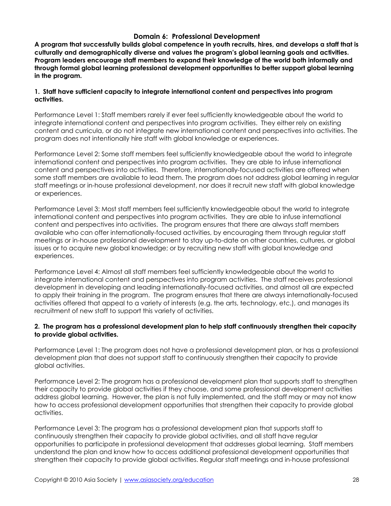# **Domain 6: Professional Development**

**A program that successfully builds global competence in youth recruits, hires, and develops a staff that is culturally and demographically diverse and values the program's global learning goals and activities. Program leaders encourage staff members to expand their knowledge of the world both informally and through formal global learning professional development opportunities to better support global learning in the program.** 

### **1. Staff have sufficient capacity to integrate international content and perspectives into program activities.**

Performance Level 1: Staff members rarely if ever feel sufficiently knowledgeable about the world to integrate international content and perspectives into program activities. They either rely on existing content and curricula, or do not integrate new international content and perspectives into activities. The program does not intentionally hire staff with global knowledge or experiences.

Performance Level 2: Some staff members feel sufficiently knowledgeable about the world to integrate international content and perspectives into program activities. They are able to infuse international content and perspectives into activities. Therefore, internationally-focused activities are offered when some staff members are available to lead them. The program does not address global learning in regular staff meetings or in-house professional development, nor does it recruit new staff with global knowledge or experiences.

Performance Level 3: Most staff members feel sufficiently knowledgeable about the world to integrate international content and perspectives into program activities. They are able to infuse international content and perspectives into activities. The program ensures that there are always staff members available who can offer internationally-focused activities, by encouraging them through regular staff meetings or in-house professional development to stay up-to-date on other countries, cultures, or global issues or to acquire new global knowledge; or by recruiting new staff with global knowledge and experiences.

Performance Level 4: Almost all staff members feel sufficiently knowledgeable about the world to integrate international content and perspectives into program activities. The staff receives professional development in developing and leading internationally-focused activities, and almost all are expected to apply their training in the program. The program ensures that there are always internationally-focused activities offered that appeal to a variety of interests (e.g. the arts, technology, etc.), and manages its recruitment of new staff to support this variety of activities.

### **2. The program has a professional development plan to help staff continuously strengthen their capacity to provide global activities.**

Performance Level 1: The program does not have a professional development plan, or has a professional development plan that does not support staff to continuously strengthen their capacity to provide global activities.

Performance Level 2: The program has a professional development plan that supports staff to strengthen their capacity to provide global activities if they choose, and some professional development activities address global learning. However, the plan is not fully implemented, and the staff may or may not know how to access professional development opportunities that strengthen their capacity to provide global activities.

Performance Level 3: The program has a professional development plan that supports staff to continuously strengthen their capacity to provide global activities, and all staff have regular opportunities to participate in professional development that addresses global learning. Staff members understand the plan and know how to access additional professional development opportunities that strengthen their capacity to provide global activities. Regular staff meetings and in-house professional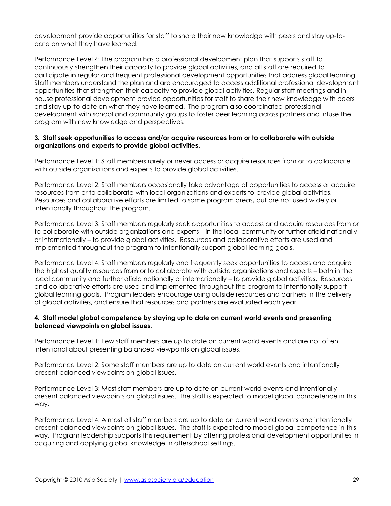development provide opportunities for staff to share their new knowledge with peers and stay up-todate on what they have learned.

Performance Level 4: The program has a professional development plan that supports staff to continuously strengthen their capacity to provide global activities, and all staff are required to participate in regular and frequent professional development opportunities that address global learning. Staff members understand the plan and are encouraged to access additional professional development opportunities that strengthen their capacity to provide global activities. Regular staff meetings and inhouse professional development provide opportunities for staff to share their new knowledge with peers and stay up-to-date on what they have learned. The program also coordinated professional development with school and community groups to foster peer learning across partners and infuse the program with new knowledge and perspectives.

### **3. Staff seek opportunities to access and/or acquire resources from or to collaborate with outside organizations and experts to provide global activities.**

Performance Level 1: Staff members rarely or never access or acquire resources from or to collaborate with outside organizations and experts to provide global activities.

Performance Level 2: Staff members occasionally take advantage of opportunities to access or acquire resources from or to collaborate with local organizations and experts to provide global activities. Resources and collaborative efforts are limited to some program areas, but are not used widely or intentionally throughout the program.

Performance Level 3: Staff members regularly seek opportunities to access and acquire resources from or to collaborate with outside organizations and experts – in the local community or further afield nationally or internationally – to provide global activities. Resources and collaborative efforts are used and implemented throughout the program to intentionally support global learning goals.

Performance Level 4: Staff members regularly and frequently seek opportunities to access and acquire the highest quality resources from or to collaborate with outside organizations and experts – both in the local community and further afield nationally or internationally – to provide global activities. Resources and collaborative efforts are used and implemented throughout the program to intentionally support global learning goals. Program leaders encourage using outside resources and partners in the delivery of global activities, and ensure that resources and partners are evaluated each year.

# **4. Staff model global competence by staying up to date on current world events and presenting balanced viewpoints on global issues.**

Performance Level 1: Few staff members are up to date on current world events and are not often intentional about presenting balanced viewpoints on global issues.

Performance Level 2: Some staff members are up to date on current world events and intentionally present balanced viewpoints on global issues.

Performance Level 3: Most staff members are up to date on current world events and intentionally present balanced viewpoints on global issues. The staff is expected to model global competence in this way.

Performance Level 4: Almost all staff members are up to date on current world events and intentionally present balanced viewpoints on global issues. The staff is expected to model global competence in this way. Program leadership supports this requirement by offering professional development opportunities in acquiring and applying global knowledge in afterschool settings.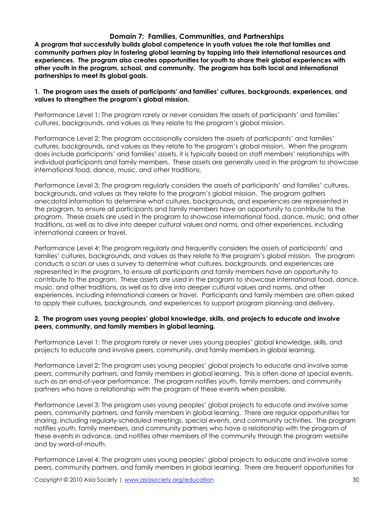### **Domain 7: Families, Communities, and Partnerships**

**A program that successfully builds global competence in youth values the role that families and community partners play in fostering global learning by tapping into their international resources and experiences. The program also creates opportunities for youth to share their global experiences with other youth in the program, school, and community. The program has both local and international partnerships to meet its global goals.** 

#### **1. The program uses the assets of participants' and families' cultures, backgrounds, experiences, and values to strengthen the program's global mission.**

Performance Level 1: The program rarely or never considers the assets of participants' and families' cultures, backgrounds, and values as they relate to the program's global mission.

Performance Level 2: The program occasionally considers the assets of participants' and families' cultures, backgrounds, and values as they relate to the program's global mission. When the program does include participants' and families' assets, it is typically based on staff members' relationships with individual participants and family members. These assets are generally used in the program to showcase international food, dance, music, and other traditions.

Performance Level 3: The program regularly considers the assets of participants' and families' cultures, backgrounds, and values as they relate to the program's global mission. The program gathers anecdotal information to determine what cultures, backgrounds, and experiences are represented in the program, to ensure all participants and family members have an opportunity to contribute to the program. These assets are used in the program to showcase international food, dance, music, and other traditions, as well as to dive into deeper cultural values and norms, and other experiences, including international careers or travel.

Performance Level 4: The program regularly and frequently considers the assets of participants' and families' cultures, backgrounds, and values as they relate to the program's global mission. The program conducts a scan or uses a survey to determine what cultures, backgrounds, and experiences are represented in the program, to ensure all participants and family members have an opportunity to contribute to the program. These assets are used in the program to showcase international food, dance, music, and other traditions, as well as to dive into deeper cultural values and norms, and other experiences, including international careers or travel. Participants and family members are often asked to apply their cultures, backgrounds, and experiences to support program planning and delivery.

#### **2. The program uses young peoples' global knowledge, skills, and projects to educate and involve peers, community, and family members in global learning.**

Performance Level 1: The program rarely or never uses young peoples' global knowledge, skills, and projects to educate and involve peers, community, and family members in global learning.

Performance Level 2: The program uses young peoples' global projects to educate and involve some peers, community partners, and family members in global learning. This is often done at special events, such as an end-of-year performance. The program notifies youth, family members, and community partners who have a relationship with the program of these events when possible.

Performance Level 3: The program uses young peoples' global projects to educate and involve some peers, community partners, and family members in global learning. There are regular opportunities for sharing, including regularly-scheduled meetings, special events, and community activities. The program notifies youth, family members, and community partners who have a relationship with the program of these events in advance, and notifies other members of the community through the program website and by word-of-mouth.

Performance Level 4: The program uses young peoples' global projects to educate and involve some peers, community partners, and family members in global learning. There are frequent opportunities for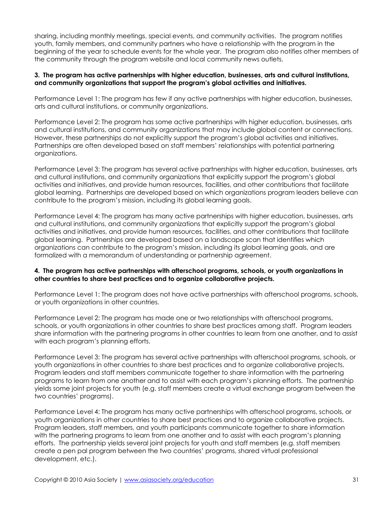sharing, including monthly meetings, special events, and community activities. The program notifies youth, family members, and community partners who have a relationship with the program in the beginning of the year to schedule events for the whole year. The program also notifies other members of the community through the program website and local community news outlets.

### **3. The program has active partnerships with higher education, businesses, arts and cultural institutions, and community organizations that support the program's global activities and initiatives.**

Performance Level 1: The program has few if any active partnerships with higher education, businesses, arts and cultural institutions, or community organizations.

Performance Level 2: The program has some active partnerships with higher education, businesses, arts and cultural institutions, and community organizations that may include global content or connections. However, these partnerships do not explicitly support the program's global activities and initiatives. Partnerships are often developed based on staff members' relationships with potential partnering organizations.

Performance Level 3: The program has several active partnerships with higher education, businesses, arts and cultural institutions, and community organizations that explicitly support the program's global activities and initiatives, and provide human resources, facilities, and other contributions that facilitate global learning. Partnerships are developed based on which organizations program leaders believe can contribute to the program's mission, including its global learning goals.

Performance Level 4: The program has many active partnerships with higher education, businesses, arts and cultural institutions, and community organizations that explicitly support the program's global activities and initiatives, and provide human resources, facilities, and other contributions that facilitate global learning. Partnerships are developed based on a landscape scan that identifies which organizations can contribute to the program's mission, including its global learning goals, and are formalized with a memorandum of understanding or partnership agreement.

# **4. The program has active partnerships with afterschool programs, schools, or youth organizations in other countries to share best practices and to organize collaborative projects.**

Performance Level 1: The program does not have active partnerships with afterschool programs, schools, or youth organizations in other countries.

Performance Level 2: The program has made one or two relationships with afterschool programs, schools, or youth organizations in other countries to share best practices among staff. Program leaders share information with the partnering programs in other countries to learn from one another, and to assist with each program's planning efforts.

Performance Level 3: The program has several active partnerships with afterschool programs, schools, or youth organizations in other countries to share best practices and to organize collaborative projects. Program leaders and staff members communicate together to share information with the partnering programs to learn from one another and to assist with each program's planning efforts. The partnership yields some joint projects for youth (e.g. staff members create a virtual exchange program between the two countries' programs).

Performance Level 4: The program has many active partnerships with afterschool programs, schools, or youth organizations in other countries to share best practices and to organize collaborative projects. Program leaders, staff members, and youth participants communicate together to share information with the partnering programs to learn from one another and to assist with each program's planning efforts. The partnership yields several joint projects for youth and staff members (e.g. staff members create a pen pal program between the two countries' programs, shared virtual professional development, etc.).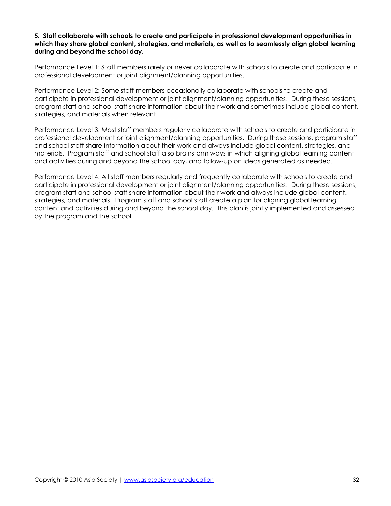#### **5. Staff collaborate with schools to create and participate in professional development opportunities in which they share global content, strategies, and materials, as well as to seamlessly align global learning during and beyond the school day.**

Performance Level 1: Staff members rarely or never collaborate with schools to create and participate in professional development or joint alignment/planning opportunities.

Performance Level 2: Some staff members occasionally collaborate with schools to create and participate in professional development or joint alignment/planning opportunities. During these sessions, program staff and school staff share information about their work and sometimes include global content, strategies, and materials when relevant.

Performance Level 3: Most staff members regularly collaborate with schools to create and participate in professional development or joint alignment/planning opportunities. During these sessions, program staff and school staff share information about their work and always include global content, strategies, and materials. Program staff and school staff also brainstorm ways in which aligning global learning content and activities during and beyond the school day, and follow-up on ideas generated as needed.

Performance Level 4: All staff members regularly and frequently collaborate with schools to create and participate in professional development or joint alignment/planning opportunities. During these sessions, program staff and school staff share information about their work and always include global content, strategies, and materials. Program staff and school staff create a plan for aligning global learning content and activities during and beyond the school day. This plan is jointly implemented and assessed by the program and the school.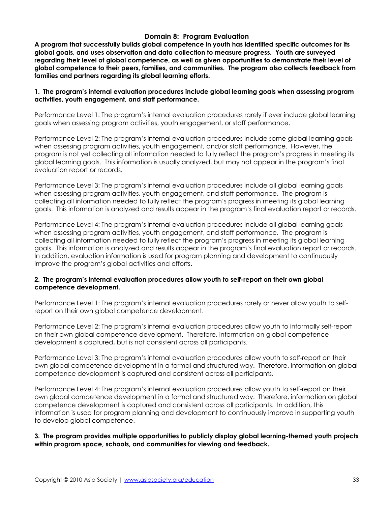# **Domain 8: Program Evaluation**

**A program that successfully builds global competence in youth has identified specific outcomes for its global goals, and uses observation and data collection to measure progress. Youth are surveyed regarding their level of global competence, as well as given opportunities to demonstrate their level of global competence to their peers, families, and communities. The program also collects feedback from families and partners regarding its global learning efforts.** 

#### **1. The program's internal evaluation procedures include global learning goals when assessing program activities, youth engagement, and staff performance.**

Performance Level 1: The program's internal evaluation procedures rarely if ever include global learning goals when assessing program activities, youth engagement, or staff performance.

Performance Level 2: The program's internal evaluation procedures include some global learning goals when assessing program activities, youth engagement, and/or staff performance. However, the program is not yet collecting all information needed to fully reflect the program's progress in meeting its global learning goals. This information is usually analyzed, but may not appear in the program's final evaluation report or records.

Performance Level 3: The program's internal evaluation procedures include all global learning goals when assessing program activities, youth engagement, and staff performance. The program is collecting all information needed to fully reflect the program's progress in meeting its global learning goals. This information is analyzed and results appear in the program's final evaluation report or records.

Performance Level 4: The program's internal evaluation procedures include all global learning goals when assessing program activities, youth engagement, and staff performance. The program is collecting all information needed to fully reflect the program's progress in meeting its global learning goals. This information is analyzed and results appear in the program's final evaluation report or records. In addition, evaluation information is used for program planning and development to continuously improve the program's global activities and efforts.

### **2. The program's internal evaluation procedures allow youth to self-report on their own global competence development.**

Performance Level 1: The program's internal evaluation procedures rarely or never allow youth to selfreport on their own global competence development.

Performance Level 2: The program's internal evaluation procedures allow youth to informally self-report on their own global competence development. Therefore, information on global competence development is captured, but is not consistent across all participants.

Performance Level 3: The program's internal evaluation procedures allow youth to self-report on their own global competence development in a formal and structured way. Therefore, information on global competence development is captured and consistent across all participants.

Performance Level 4: The program's internal evaluation procedures allow youth to self-report on their own global competence development in a formal and structured way. Therefore, information on global competence development is captured and consistent across all participants. In addition, this information is used for program planning and development to continuously improve in supporting youth to develop global competence.

**3. The program provides multiple opportunities to publicly display global learning-themed youth projects within program space, schools, and communities for viewing and feedback.**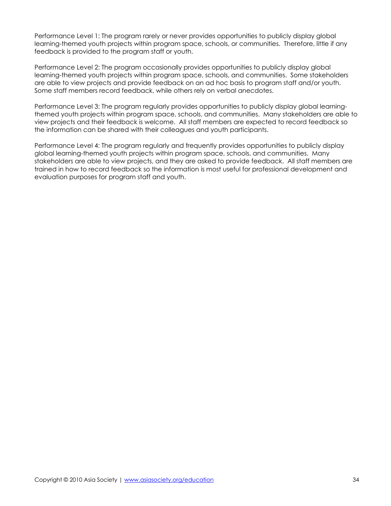Performance Level 1: The program rarely or never provides opportunities to publicly display global learning-themed youth projects within program space, schools, or communities. Therefore, little if any feedback is provided to the program staff or youth.

Performance Level 2: The program occasionally provides opportunities to publicly display global learning-themed youth projects within program space, schools, and communities. Some stakeholders are able to view projects and provide feedback on an ad hoc basis to program staff and/or youth. Some staff members record feedback, while others rely on verbal anecdotes.

Performance Level 3: The program regularly provides opportunities to publicly display global learningthemed youth projects within program space, schools, and communities. Many stakeholders are able to view projects and their feedback is welcome. All staff members are expected to record feedback so the information can be shared with their colleagues and youth participants.

Performance Level 4: The program regularly and frequently provides opportunities to publicly display global learning-themed youth projects within program space, schools, and communities. Many stakeholders are able to view projects, and they are asked to provide feedback. All staff members are trained in how to record feedback so the information is most useful for professional development and evaluation purposes for program staff and youth.